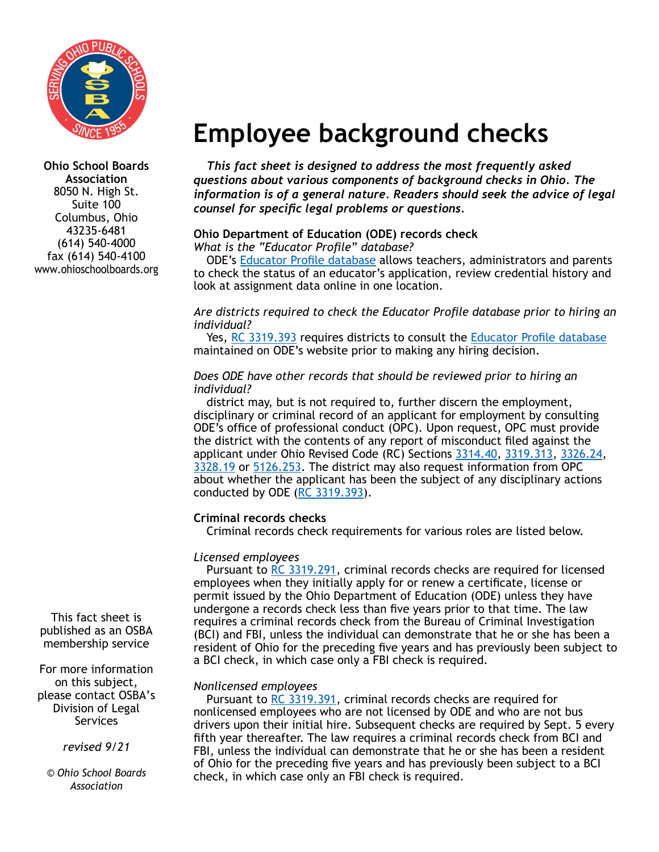

**Ohio School Boards Association** 8050 N. High St. Suite 100 Columbus, Ohio 43235-6481 (614) 540-4000 fax (614) 540-4100 www.ohioschoolboards.org

This fact sheet is published as an OSBA membership service

For more information on this subject, please contact OSBA's Division of Legal Services

*revised 9/21* 

*© Ohio School Boards Association*

# **Employee background checks**

*This fact sheet is designed to address the most frequently asked questions about various components of background checks in Ohio. The information is of a general nature. Readers should seek the advice of legal counsel for specific legal problems or questions.*

# **Ohio Department of Education (ODE) records check**

*What is the "Educator Profile" database?*

ODE's [Educator Profile database](https://core.ode.state.oh.us/Core4/ODE.CORE.Lic.Profile.Public.UI/) allows teachers, administrators and parents to check the status of an educator's application, review credential history and look at assignment data online in one location.

#### *Are districts required to check the Educator Profile database prior to hiring an individual?*

Yes, [RC 3319.393](https://codes.ohio.gov/ohio-revised-code/section-3319.393) requires districts to consult the [Educator Profile database](https://core.ode.state.oh.us/Core4/ODE.CORE.Lic.Profile.Public.UI/) maintained on ODE's website prior to making any hiring decision.

#### *Does ODE have other records that should be reviewed prior to hiring an individual?*

district may, but is not required to, further discern the employment, disciplinary or criminal record of an applicant for employment by consulting ODE's office of professional conduct (OPC). Upon request, OPC must provide the district with the contents of any report of misconduct filed against the applicant under Ohio Revised Code (RC) Sections [3314.40](https://codes.ohio.gov/ohio-revised-code/section-3314.40), [3319.313,](https://codes.ohio.gov/ohio-revised-code/section-3319.313) [3326.24,](https://codes.ohio.gov/ohio-revised-code/section-3326.24) [3328.19](https://codes.ohio.gov/ohio-revised-code/section-3328.19) or [5126.253.](https://codes.ohio.gov/ohio-revised-code/section-5126.253) The district may also request information from OPC about whether the applicant has been the subject of any disciplinary actions conducted by ODE ([RC 3319.393\)](https://codes.ohio.gov/ohio-revised-code/section-3319.393).

# **Criminal records checks**

Criminal records check requirements for various roles are listed below.

# *Licensed employees*

Pursuant to [RC 3319.291,](https://codes.ohio.gov/ohio-revised-code/section-3319.291) criminal records checks are required for licensed employees when they initially apply for or renew a certificate, license or permit issued by the Ohio Department of Education (ODE) unless they have undergone a records check less than five years prior to that time. The law requires a criminal records check from the Bureau of Criminal Investigation (BCI) and FBI, unless the individual can demonstrate that he or she has been a resident of Ohio for the preceding five years and has previously been subject to a BCI check, in which case only a FBI check is required.

# *Nonlicensed employees*

Pursuant to [RC 3319.391,](https://codes.ohio.gov/ohio-revised-code/section-3319.391) criminal records checks are required for nonlicensed employees who are not licensed by ODE and who are not bus drivers upon their initial hire. Subsequent checks are required by Sept. 5 every fifth year thereafter. The law requires a criminal records check from BCI and FBI, unless the individual can demonstrate that he or she has been a resident of Ohio for the preceding five years and has previously been subject to a BCI check, in which case only an FBI check is required.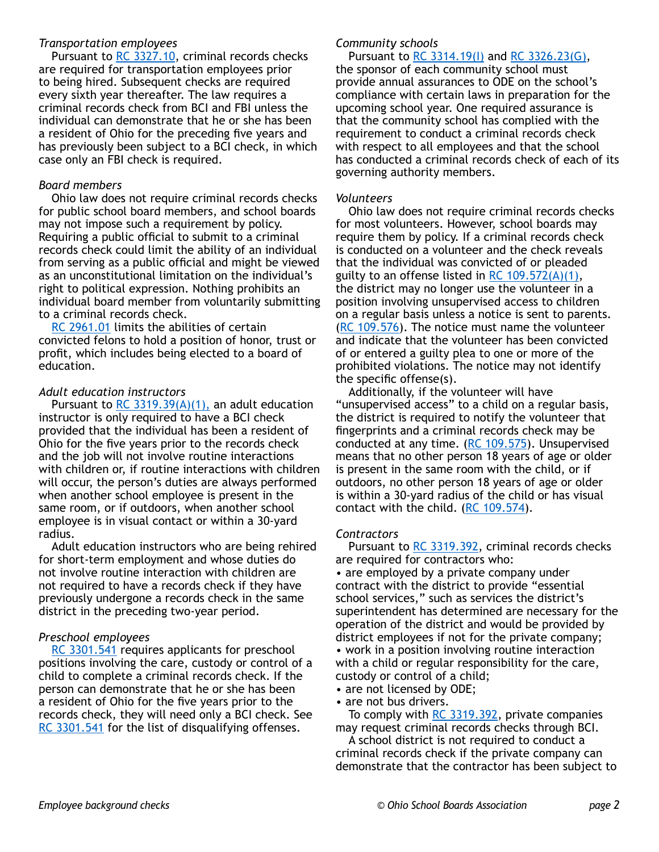#### *Transportation employees*

Pursuant to [RC 3327.10,](https://codes.ohio.gov/ohio-revised-code/section-3327.10) criminal records checks are required for transportation employees prior to being hired. Subsequent checks are required every sixth year thereafter. The law requires a criminal records check from BCI and FBI unless the individual can demonstrate that he or she has been a resident of Ohio for the preceding five years and has previously been subject to a BCI check, in which case only an FBI check is required.

#### *Board members*

Ohio law does not require criminal records checks for public school board members, and school boards may not impose such a requirement by policy. Requiring a public official to submit to a criminal records check could limit the ability of an individual from serving as a public official and might be viewed as an unconstitutional limitation on the individual's right to political expression. Nothing prohibits an individual board member from voluntarily submitting to a criminal records check.

[RC 2961.01](https://codes.ohio.gov/ohio-revised-code/section-2961.01) limits the abilities of certain convicted felons to hold a position of honor, trust or profit, which includes being elected to a board of education.

#### *Adult education instructors*

Pursuant to [RC 3319.39\(A\)\(1\),](https://codes.ohio.gov/ohio-revised-code/section-3319.39) an adult education instructor is only required to have a BCI check provided that the individual has been a resident of Ohio for the five years prior to the records check and the job will not involve routine interactions with children or, if routine interactions with children will occur, the person's duties are always performed when another school employee is present in the same room, or if outdoors, when another school employee is in visual contact or within a 30-yard radius.

Adult education instructors who are being rehired for short-term employment and whose duties do not involve routine interaction with children are not required to have a records check if they have previously undergone a records check in the same district in the preceding two-year period.

#### *Preschool employees*

[RC 3301.541](https://codes.ohio.gov/ohio-revised-code/section-3301.541) requires applicants for preschool positions involving the care, custody or control of a child to complete a criminal records check. If the person can demonstrate that he or she has been a resident of Ohio for the five years prior to the records check, they will need only a BCI check. See [RC 3301.541](https://codes.ohio.gov/ohio-revised-code/section-3301.541) for the list of disqualifying offenses.

#### *Community schools*

Pursuant to [RC 3314.19\(I\)](https://codes.ohio.gov/ohio-revised-code/section-3314.19) and [RC 3326.23\(G\)](https://codes.ohio.gov/ohio-revised-code/section-3326.23), the sponsor of each community school must provide annual assurances to ODE on the school's compliance with certain laws in preparation for the upcoming school year. One required assurance is that the community school has complied with the requirement to conduct a criminal records check with respect to all employees and that the school has conducted a criminal records check of each of its governing authority members.

#### *Volunteers*

Ohio law does not require criminal records checks for most volunteers. However, school boards may require them by policy. If a criminal records check is conducted on a volunteer and the check reveals that the individual was convicted of or pleaded guilty to an offense listed in RC  $109.572(A)(1)$ , the district may no longer use the volunteer in a position involving unsupervised access to children on a regular basis unless a notice is sent to parents. [\(RC 109.576\)](https://codes.ohio.gov/ohio-revised-code/section-109.576). The notice must name the volunteer and indicate that the volunteer has been convicted of or entered a guilty plea to one or more of the prohibited violations. The notice may not identify the specific offense(s).

Additionally, if the volunteer will have "unsupervised access" to a child on a regular basis, the district is required to notify the volunteer that fingerprints and a criminal records check may be conducted at any time.  $(RC 109.575)$  $(RC 109.575)$  $(RC 109.575)$ . Unsupervised means that no other person 18 years of age or older is present in the same room with the child, or if outdoors, no other person 18 years of age or older is within a 30-yard radius of the child or has visual contact with the child. ([RC 109.574\)](https://codes.ohio.gov/ohio-revised-code/section-109.574).

#### *Contractors*

Pursuant to [RC 3319.392,](https://codes.ohio.gov/ohio-revised-code/section-3319.392) criminal records checks are required for contractors who:

• are employed by a private company under contract with the district to provide "essential school services," such as services the district's superintendent has determined are necessary for the operation of the district and would be provided by district employees if not for the private company; • work in a position involving routine interaction with a child or regular responsibility for the care, custody or control of a child;

- are not licensed by ODE:
- are not bus drivers.

To comply with [RC 3319.392,](https://codes.ohio.gov/ohio-revised-code/section-3319.392) private companies may request criminal records checks through BCI.

A school district is not required to conduct a criminal records check if the private company can demonstrate that the contractor has been subject to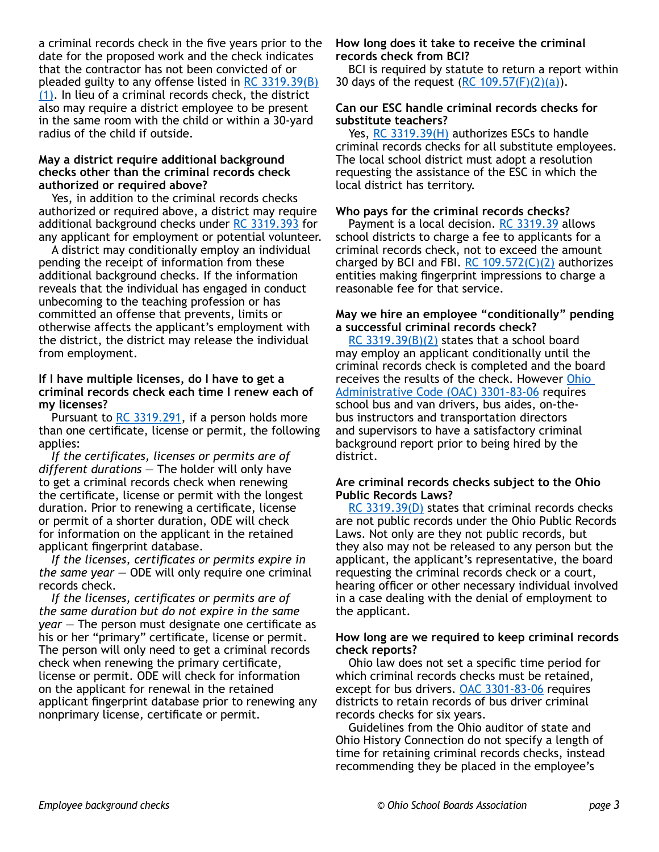a criminal records check in the five years prior to the date for the proposed work and the check indicates that the contractor has not been convicted of or pleaded guilty to any offense listed in [RC 3319.39\(B\)](https://codes.ohio.gov/ohio-revised-code/section-3319.39) [\(1\).](https://codes.ohio.gov/ohio-revised-code/section-3319.39) In lieu of a criminal records check, the district also may require a district employee to be present in the same room with the child or within a 30-yard radius of the child if outside.

#### **May a district require additional background checks other than the criminal records check authorized or required above?**

Yes, in addition to the criminal records checks authorized or required above, a district may require additional background checks under [RC 3319.393](https://codes.ohio.gov/ohio-revised-code/section-3319.393) for any applicant for employment or potential volunteer.

A district may conditionally employ an individual pending the receipt of information from these additional background checks. If the information reveals that the individual has engaged in conduct unbecoming to the teaching profession or has committed an offense that prevents, limits or otherwise affects the applicant's employment with the district, the district may release the individual from employment.

#### **If I have multiple licenses, do I have to get a criminal records check each time I renew each of my licenses?**

Pursuant to [RC 3319.291,](https://codes.ohio.gov/ohio-revised-code/section-3319.291) if a person holds more than one certificate, license or permit, the following applies:

*If the certificates, licenses or permits are of different durations* — The holder will only have to get a criminal records check when renewing the certificate, license or permit with the longest duration. Prior to renewing a certificate, license or permit of a shorter duration, ODE will check for information on the applicant in the retained applicant fingerprint database.

*If the licenses, certificates or permits expire in the same year* — ODE will only require one criminal records check.

*If the licenses, certificates or permits are of the same duration but do not expire in the same year* — The person must designate one certificate as his or her "primary" certificate, license or permit. The person will only need to get a criminal records check when renewing the primary certificate, license or permit. ODE will check for information on the applicant for renewal in the retained applicant fingerprint database prior to renewing any nonprimary license, certificate or permit.

#### **How long does it take to receive the criminal records check from BCI?**

BCI is required by statute to return a report within 30 days of the request (RC  $109.57(F)(2)(a)$ ).

#### **Can our ESC handle criminal records checks for substitute teachers?**

Yes, [RC 3319.39\(H\)](https://codes.ohio.gov/ohio-revised-code/section-3319.39) authorizes ESCs to handle criminal records checks for all substitute employees. The local school district must adopt a resolution requesting the assistance of the ESC in which the local district has territory.

#### **Who pays for the criminal records checks?**

Payment is a local decision. [RC 3319.39](https://codes.ohio.gov/ohio-revised-code/section-3319.39) allows school districts to charge a fee to applicants for a criminal records check, not to exceed the amount charged by BCI and FBI. RC  $109.572(C)(2)$  authorizes entities making fingerprint impressions to charge a reasonable fee for that service.

#### **May we hire an employee "conditionally" pending a successful criminal records check?**

[RC 3319.39\(B\)\(2\)](https://codes.ohio.gov/ohio-revised-code/section-3319.39) states that a school board may employ an applicant conditionally until the criminal records check is completed and the board receives the results of the check. However [Ohio](https://codes.ohio.gov/ohio-administrative-code/rule-3301-83-06)  [Administrative Code \(OAC\) 3301-83-06](https://codes.ohio.gov/ohio-administrative-code/rule-3301-83-06) requires school bus and van drivers, bus aides, on-thebus instructors and transportation directors and supervisors to have a satisfactory criminal background report prior to being hired by the district.

#### **Are criminal records checks subject to the Ohio Public Records Laws?**

[RC 3319.39\(D\)](https://codes.ohio.gov/ohio-revised-code/section-3319.39) states that criminal records checks are not public records under the Ohio Public Records Laws. Not only are they not public records, but they also may not be released to any person but the applicant, the applicant's representative, the board requesting the criminal records check or a court, hearing officer or other necessary individual involved in a case dealing with the denial of employment to the applicant.

#### **How long are we required to keep criminal records check reports?**

Ohio law does not set a specific time period for which criminal records checks must be retained, except for bus drivers. [OAC 3301-83-06](https://codes.ohio.gov/ohio-administrative-code/rule-3301-83-06) requires districts to retain records of bus driver criminal records checks for six years.

Guidelines from the Ohio auditor of state and Ohio History Connection do not specify a length of time for retaining criminal records checks, instead recommending they be placed in the employee's